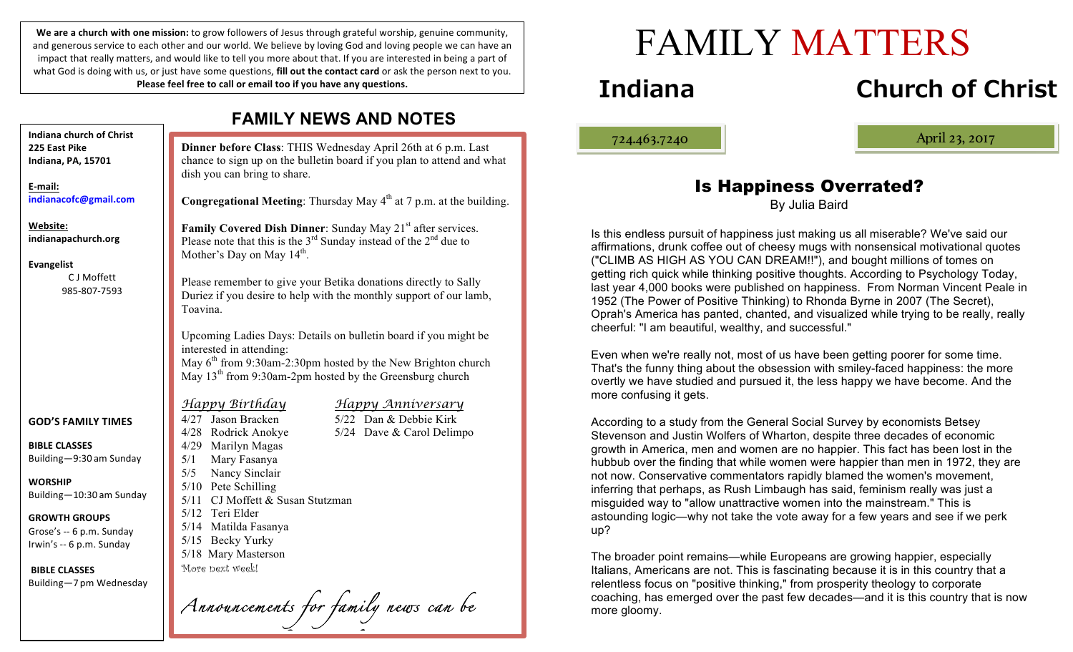We are a church with one mission: to grow followers of Jesus through grateful worship, genuine community, and generous service to each other and our world. We believe by loving God and loving people we can have an impact that really matters, and would like to tell you more about that. If you are interested in being a part of what God is doing with us, or just have some questions, **fill out the contact card** or ask the person next to you. **Please feel free to call or email too if you have any questions.** 

**Dinner before Class**: THIS Wednesday April 26th at 6 p.m. Last chance to sign up on the bulletin board if you plan to attend and what dish you can bring to share. **Congregational Meeting**: Thursday May 4<sup>th</sup> at 7 p.m. at the building. **Family Covered Dish Dinner**: Sunday May 21<sup>st</sup> after services. Please note that this is the  $3<sup>rd</sup>$  Sunday instead of the  $2<sup>nd</sup>$  due to Mother's Day on May  $14<sup>th</sup>$ . Please remember to give your Betika donations directly to Sally Duriez if you desire to help with the monthly support of our lamb, Toavina. Upcoming Ladies Days: Details on bulletin board if you might be interested in attending: May  $6<sup>th</sup>$  from 9:30am-2:30pm hosted by the New Brighton church May  $13<sup>th</sup>$  from 9:30am-2pm hosted by the Greensburg church *Happy Birthday Happy Anniversary* 4/27 Jason Bracken 5/22 Dan & Debbie Kirk 4/28 Rodrick Anokye 5/24 Dave & Carol Delimpo 4/29 Marilyn Magas 5/1 Mary Fasanya 5/5 Nancy Sinclair 5/10 Pete Schilling 5/11 CJ Moffett & Susan Stutzman 5/12 Teri Elder 5/14 Matilda Fasanya 5/15 Becky Yurky 5/18 Mary Masterson More next week! *Announcements for family news can be*  **Indiana church of Christ 225 East Pike Indiana, PA, 15701 E-mail: indianacofc@gmail.com Website: indianapachurch.org Evangelist** C J Moffett 985-807-7593 **GOD'S FAMILY TIMES BIBLE CLASSES** Building—9:30 am Sunday **WORSHIP** Building—10:30 am Sunday **GROWTH GROUPS** Grose's -- 6 p.m. Sunday Irwin's -- 6 p.m. Sunday **BIBLE CLASSES** Building—7 pm Wednesday

## **FAMILY NEWS AND NOTES**

# FAMILY MATTERS

## **Indiana Church of Christ**

ļ

724.463.7240 April 23, 2017

## Is Happiness Overrated?

By Julia Baird

Is this endless pursuit of happiness just making us all miserable? We've said our affirmations, drunk coffee out of cheesy mugs with nonsensical motivational quotes ("CLIMB AS HIGH AS YOU CAN DREAM!!"), and bought millions of tomes on getting rich quick while thinking positive thoughts. According to Psychology Today, last year 4,000 books were published on happiness. From Norman Vincent Peale in 1952 (The Power of Positive Thinking) to Rhonda Byrne in 2007 (The Secret), Oprah's America has panted, chanted, and visualized while trying to be really, really cheerful: "I am beautiful, wealthy, and successful."

Even when we're really not, most of us have been getting poorer for some time. That's the funny thing about the obsession with smiley-faced happiness: the more overtly we have studied and pursued it, the less happy we have become. And the more confusing it gets.

According to a study from the General Social Survey by economists Betsey Stevenson and Justin Wolfers of Wharton, despite three decades of economic growth in America, men and women are no happier. This fact has been lost in the hubbub over the finding that while women were happier than men in 1972, they are not now. Conservative commentators rapidly blamed the women's movement, inferring that perhaps, as Rush Limbaugh has said, feminism really was just a misguided way to "allow unattractive women into the mainstream." This is astounding logic—why not take the vote away for a few years and see if we perk up?

The broader point remains—while Europeans are growing happier, especially Italians, Americans are not. This is fascinating because it is in this country that a relentless focus on "positive thinking," from prosperity theology to corporate coaching, has emerged over the past few decades—and it is this country that is now more gloomy.